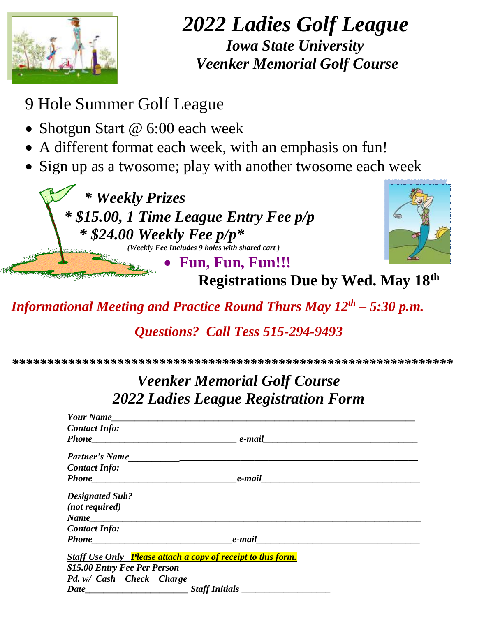

## *2022 Ladies Golf League Iowa State University Veenker Memorial Golf Course*

- 9 Hole Summer Golf League
- Shotgun Start @ 6:00 each week
- A different format each week, with an emphasis on fun!
- Sign up as a twosome; play with another twosome each week

 *\* Weekly Prizes \* \$1 5.00, 1 Time League Entry Fee p/p \* \$24.00 Weekly Fee p/p\* (Weekly Fee Includes 9 holes with shared cart )*



**Fun, Fun, Fun!!!**

 **Registrations Due by Wed. May 18th** 

*Informational Meeting and Practice Round Thurs May 12 th – 5:30 p.m.*

*Questions? Call Tess 515-294-9493*

*\*\*\*\*\*\*\*\*\*\*\*\*\*\*\*\*\*\*\*\*\*\*\*\*\*\*\*\*\*\*\*\*\*\*\*\*\*\*\*\*\*\*\*\*\*\*\*\*\*\*\*\*\*\*\*\*\*\*\*\*\*\*\**

## *Veenker Memorial Golf Course 2022 Ladies League Registration Form*

| <b>Your Name</b>                                                                                                                                                                                                                                                                                                  |                           |                                                                                                                |
|-------------------------------------------------------------------------------------------------------------------------------------------------------------------------------------------------------------------------------------------------------------------------------------------------------------------|---------------------------|----------------------------------------------------------------------------------------------------------------|
| <b>Contact Info:</b>                                                                                                                                                                                                                                                                                              |                           |                                                                                                                |
| <b>Phone</b> experience the set of the set of the set of the set of the set of the set of the set of the set of the set of the set of the set of the set of the set of the set of the set of the set of the set of the set of the s                                                                               |                           |                                                                                                                |
|                                                                                                                                                                                                                                                                                                                   |                           |                                                                                                                |
| <b>Contact Info:</b>                                                                                                                                                                                                                                                                                              |                           |                                                                                                                |
| <b>Phone</b> Phone                                                                                                                                                                                                                                                                                                |                           | e-mail entrancement of the state of the state of the state of the state of the state of the state of the state |
| <b>Designated Sub?</b>                                                                                                                                                                                                                                                                                            |                           |                                                                                                                |
| (not required)                                                                                                                                                                                                                                                                                                    |                           |                                                                                                                |
| Name experience and the set of the set of the set of the set of the set of the set of the set of the set of the set of the set of the set of the set of the set of the set of the set of the set of the set of the set of the                                                                                     |                           |                                                                                                                |
| <b>Contact Info:</b>                                                                                                                                                                                                                                                                                              |                           |                                                                                                                |
| <b>Phone</b> experience the set of the set of the set of the set of the set of the set of the set of the set of the set of the set of the set of the set of the set of the set of the set of the set of the set of the set of the s                                                                               | $e$ -mail $\qquad \qquad$ |                                                                                                                |
| <b>Staff Use Only</b> Please attach a copy of receipt to this form.                                                                                                                                                                                                                                               |                           |                                                                                                                |
| \$15.00 Entry Fee Per Person                                                                                                                                                                                                                                                                                      |                           |                                                                                                                |
| Pd. w/ Cash Check Charge                                                                                                                                                                                                                                                                                          |                           |                                                                                                                |
| $Date$ and $Date$ and $Date$ and $Date$ and $Date$ and $Date$ and $Date$ and $Date$ and $Date$ and $Date$ and $Date$ and $Date$ and $Date$ and $Date$ and $Date$ and $Date$ and $Date$ and $Date$ and $Date$ and $Date$ and $Date$ and $Date$ and $Date$ and $Date$ and $Date$ and $Date$ and $Date$ and $Date$ a | <b>Staff Initials</b>     |                                                                                                                |